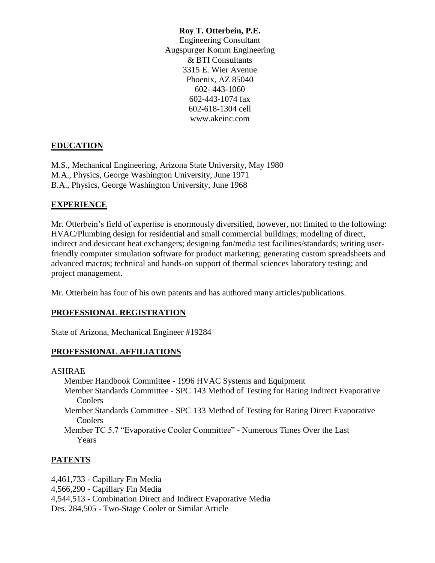#### **Roy T. Otterbein, P.E.**

Engineering Consultant Augspurger Komm Engineering & BTI Consultants 3315 E. Wier Avenue Phoenix, AZ 85040 602- 443-1060 602-443-1074 fax 602-618-1304 cell www.akeinc.com

## **EDUCATION**

M.S., Mechanical Engineering, Arizona State University, May 1980 M.A., Physics, George Washington University, June 1971 B.A., Physics, George Washington University, June 1968

## **EXPERIENCE**

Mr. Otterbein's field of expertise is enormously diversified, however, not limited to the following: HVAC/Plumbing design for residential and small commercial buildings; modeling of direct, indirect and desiccant heat exchangers; designing fan/media test facilities/standards; writing userfriendly computer simulation software for product marketing; generating custom spreadsheets and advanced macros; technical and hands-on support of thermal sciences laboratory testing; and project management.

Mr. Otterbein has four of his own patents and has authored many articles/publications.

# **PROFESSIONAL REGISTRATION**

State of Arizona, Mechanical Engineer #19284

### **PROFESSIONAL AFFILIATIONS**

ASHRAE

Member Handbook Committee - 1996 HVAC Systems and Equipment

- Member Standards Committee SPC 143 Method of Testing for Rating Indirect Evaporative Coolers
- Member Standards Committee SPC 133 Method of Testing for Rating Direct Evaporative Coolers
- Member TC 5.7 "Evaporative Cooler Committee" Numerous Times Over the Last Years

# **PATENTS**

4,461,733 - Capillary Fin Media 4,566,290 - Capillary Fin Media 4,544,513 - Combination Direct and Indirect Evaporative Media Des. 284,505 - Two-Stage Cooler or Similar Article